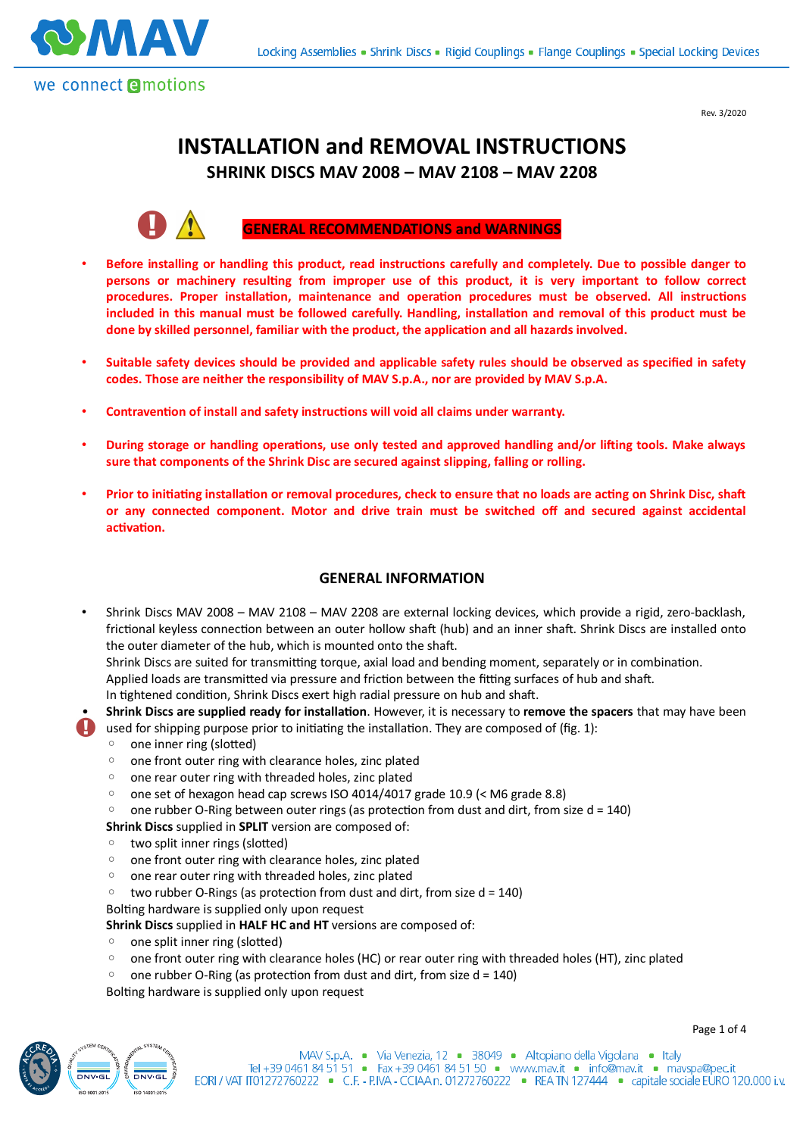

Rev. 3/2020

Page 1 of 4

# **INSTALLATION and REMOVAL INSTRUCTIONS SHRINK DISCS MAV 2008 – MAV 2108 – MAV 2208**



## **GENERAL RECOMMENDATIONS and WARNINGS**

- **Before installing or handling this product, read instructions carefully and completely. Due to possible danger to** persons or machinery resulting from improper use of this product, it is very important to follow correct procedures. Proper installation, maintenance and operation procedures must be observed. All instructions included in this manual must be followed carefully. Handling, installation and removal of this product must be done by skilled personnel, familiar with the product, the application and all hazards involved.
- **Suitable safety devices should be provided and applicable safety rules should be observed as specified in safety codes. Those are neither the responsibility of MAV S.p.A., nor are provided by MAV S.p.A.**
- Contravention of install and safety instructions will void all claims under warranty.
- **During storage or handling operations, use only tested and approved handling and/or lifting tools. Make always sure that components of the Shrink Disc are secured against slipping, falling or rolling.**
- Prior to initiating installation or removal procedures, check to ensure that no loads are acting on Shrink Disc, shaft **or any connected component. Motor and drive train must be switched off and secured against accidental** activation.

### **GENERAL INFORMATION**

• Shrink Discs MAV 2008 – MAV 2108 – MAV 2208 are external locking devices, which provide a rigid, zero-backlash, frictional keyless connection between an outer hollow shaft (hub) and an inner shaft. Shrink Discs are installed onto the outer diameter of the hub, which is mounted onto the shaft.

Shrink Discs are suited for transmitting torque, axial load and bending moment, separately or in combination. Applied loads are transmitted via pressure and friction between the fitting surfaces of hub and shaft.

In tightened condition, Shrink Discs exert high radial pressure on hub and shaft.

- **Shrink Discs are supplied ready for installa+on**. However, it is necessary to **remove the spacers** that may have been **L** used for shipping purpose prior to initiating the installation. They are composed of (fig. 1):
	- one inner ring (slotted)
	- one front outer ring with clearance holes, zinc plated
	- one rear outer ring with threaded holes, zinc plated
	- one set of hexagon head cap screws ISO 4014/4017 grade 10.9 (< M6 grade 8.8)
	- $\degree$  one rubber O-Ring between outer rings (as protection from dust and dirt, from size d = 140)
	- **Shrink Discs** supplied in **SPLIT** version are composed of:
	- two split inner rings (slotted)
	- one front outer ring with clearance holes, zinc plated
	- one rear outer ring with threaded holes, zinc plated
	- $\degree$  two rubber O-Rings (as protection from dust and dirt, from size d = 140)

Bolting hardware is supplied only upon request

**Shrink Discs** supplied in **HALF HC and HT** versions are composed of:

- one split inner ring (slotted)
- one front outer ring with clearance holes (HC) or rear outer ring with threaded holes (HT), zinc plated
- $\degree$  one rubber O-Ring (as protection from dust and dirt, from size d = 140)

Bolting hardware is supplied only upon request

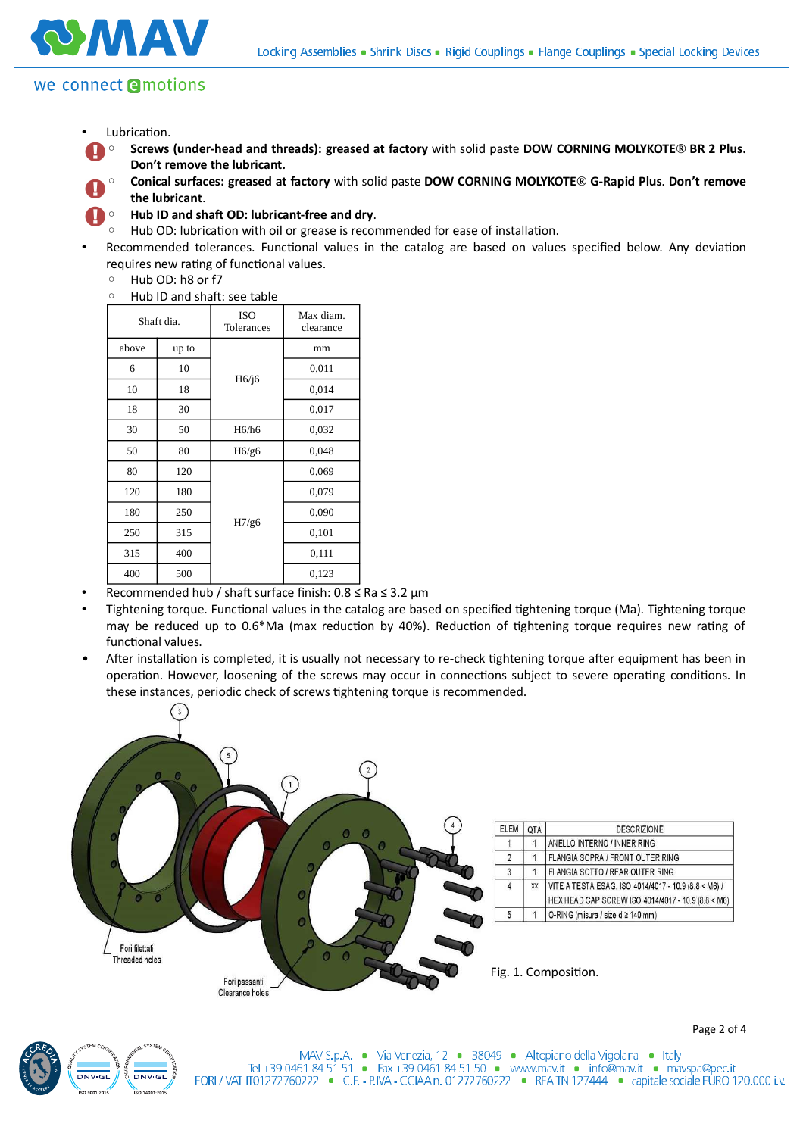

# we connect **e**motions

- Lubrication.
- **Screws (under-head and threads): greased at factory** with solid paste **DOW CORNING MOLYKOTE® BR 2 Plus. Don't remove the lubricant.**
	- **Conical surfaces: greased at factory** with solid paste **DOW CORNING MOLYKOTE® G-Rapid Plus**. **Don't remove the lubricant**.



- **Hub ID and sha7 OD: lubricant-free and dry**.
- Hub OD: lubrication with oil or grease is recommended for ease of installation.
- Recommended tolerances. Functional values in the catalog are based on values specified below. Any deviation requires new rating of functional values.
	- Hub OD: h8 or f7
	- Hub ID and sha\*: see table

| Shaft dia. |       | <b>ISO</b><br>Tolerances | Max diam.<br>clearance |
|------------|-------|--------------------------|------------------------|
| above      | up to | H6/j6                    | mm                     |
| 6          | 10    |                          | 0,011                  |
| 10         | 18    |                          | 0,014                  |
| 18         | 30    |                          | 0,017                  |
| 30         | 50    | H6/h6                    | 0,032                  |
| 50         | 80    | H6/g6                    | 0,048                  |
| 80         | 120   | H7/g6                    | 0,069                  |
| 120        | 180   |                          | 0,079                  |
| 180        | 250   |                          | 0,090                  |
| 250        | 315   |                          | 0,101                  |
| 315        | 400   |                          | 0,111                  |
| 400        | 500   |                          | 0,123                  |

- Recommended hub / shaft surface finish:  $0.8 \leq Ra \leq 3.2 \mu m$
- Tightening torque. Functional values in the catalog are based on specified tightening torque (Ma). Tightening torque may be reduced up to 0.6\*Ma (max reduction by 40%). Reduction of tightening torque requires new rating of functional values.
- After installation is completed, it is usually not necessary to re-check tightening torque after equipment has been in operation. However, loosening of the screws may occur in connections subject to severe operating conditions. In these instances, periodic check of screws tightening torque is recommended.





Page 2 of 4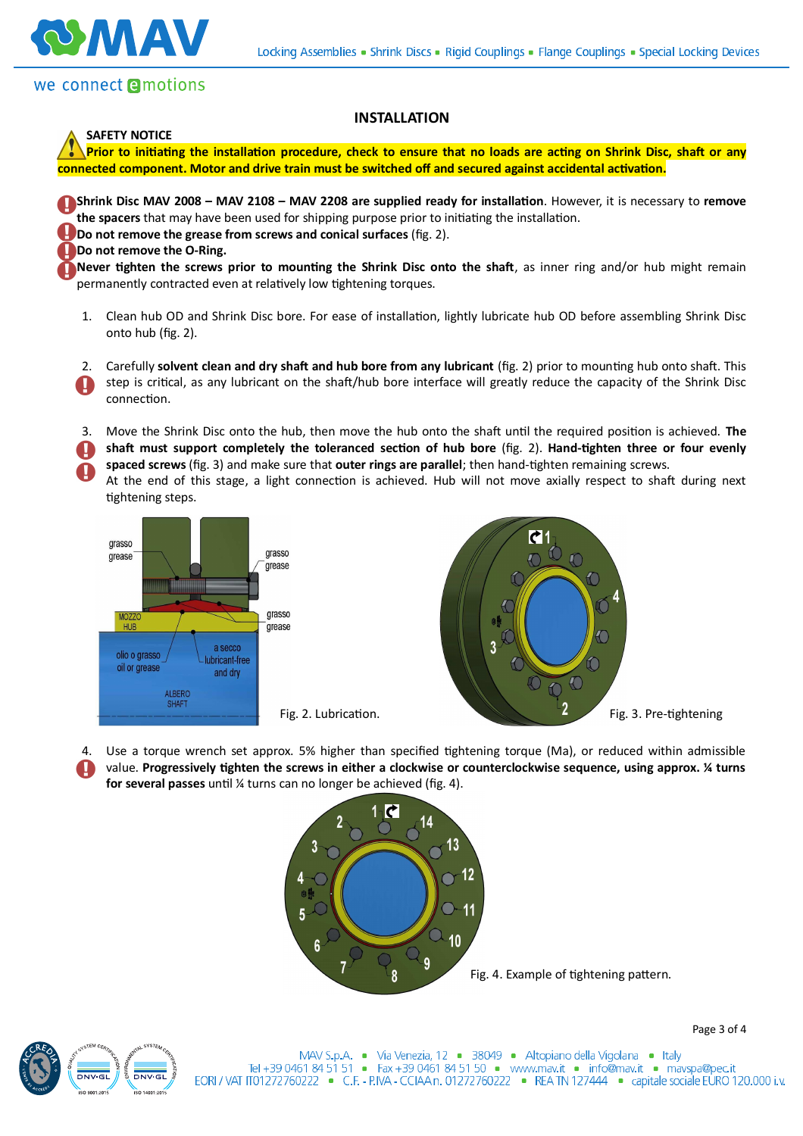



**MAV** 

**SAFETY NOTICE**

### **INSTALLATION**

**Prior to initiating the installation procedure, check to ensure that no loads are acting on Shrink Disc, shaft or any** connected component. Motor and drive train must be switched off and secured against accidental activation.

**Shrink Disc MAV 2008 – MAV 2108 – MAV 2208 are supplied ready for installation**. However, it is necessary to remove the spacers that may have been used for shipping purpose prior to initiating the installation. **Do not remove the grease from screws and conical surfaces** (fig. 2). **Do not remove the O-Ring.** Never tighten the screws prior to mounting the Shrink Disc onto the shaft, as inner ring and/or hub might remain permanently contracted even at relatively low tightening torques.

- 1. Clean hub OD and Shrink Disc bore. For ease of installation, lightly lubricate hub OD before assembling Shrink Disc onto hub (fig. 2).
- 2. Carefully **solvent clean and dry shaft and hub bore from any lubricant** (fig. 2) prior to mounting hub onto shaft. This step is critical, as any lubricant on the shaft/hub bore interface will greatly reduce the capacity of the Shrink Disc  $\mathbf \Omega$ connection.
- 3. Move the Shrink Disc onto the hub, then move the hub onto the shaft until the required position is achieved. The
- shaft must support completely the toleranced section of hub bore (fig. 2). Hand-tighten three or four evenly spaced screws (fig. 3) and make sure that **outer rings are parallel**; then hand-tighten remaining screws.
- At the end of this stage, a light connection is achieved. Hub will not move axially respect to shaft during next tightening steps.





4. Use a torque wrench set approx. 5% higher than specified tightening torque (Ma), or reduced within admissible value. Progressively tighten the screws in either a clockwise or counterclockwise sequence, using approx. *X* turns **for several passes** until ¼ turns can no longer be achieved (fig. 4).





Page 3 of 4